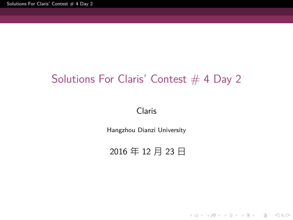Solutions For Claris' Contest  $\#$  4 Day 2

# Solutions For Claris' Contest  $# 4$  Day 2

Claris

Hangzhou Dianzi University

2016 年 12 月 23 日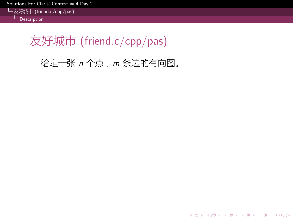olutions For Claris' Contest  $\#$  4 Day 2

友好城市 (friend.c/cpp/pas) **Description** 

友好城市 (friend.c/cpp/pas)

给定一张 *n* 个点,*m* 条边的有向图。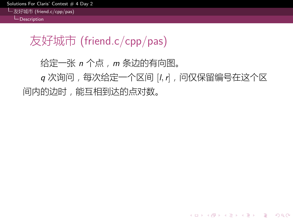olutions For Claris' Contest  $\#$  4 Day 2

友好城市 (friend.c/cpp/pas)  $L_{\text{Description}}$ 

友好城市 (friend.c/cpp/pas)

给定一张 *n* 个点,*m* 条边的有向图。

*q* 次询问,每次给定一个区间 [*l,r*],问仅保留编号在这个区 间内的边时,能互相到达的点对数。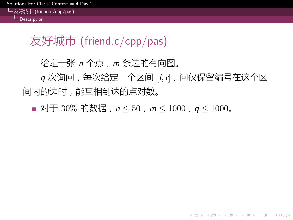itions For Claris' Contest  $\#$  4 Day 2 友好城市 (friend.c/cpp/pas)

L-Description

友好城市 (friend.c/cpp/pas)

给定一张 *n* 个点,*m* 条边的有向图。

*q* 次询问,每次给定一个区间 [*l,r*],问仅保留编号在这个区 间内的边时,能互相到达的点对数。

对于 30% 的数据,*n ≤* 50,*m ≤* 1000,*q ≤* 1000。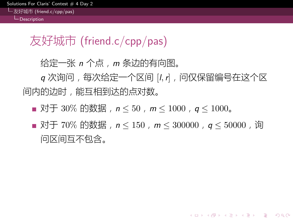#### tions For Claris' Contest  $\#$ 友好城市 (friend.c/cpp/pas)  $L_{\text{Description}}$

### 友好城市 (friend.c/cpp/pas)

给定一张 *n* 个点,*m* 条边的有向图。

*q* 次询问,每次给定一个区间 [*l,r*],问仅保留编号在这个区 间内的边时,能互相到达的点对数。

- 对于 30% 的数据,*n ≤* 50,*m ≤* 1000,*q ≤* 1000。
- 对于 70% 的数据, n ≤ 150, m ≤ 300000, q ≤ 50000, 询 问区间互不包含。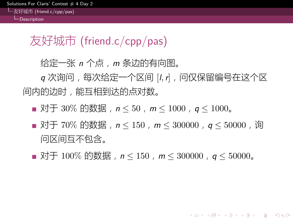#### ons For Claris' Contest 友好城市 (friend.c/cpp/pas)

 $L_{\text{Descritition}}$ 

### 友好城市 (friend.c/cpp/pas)

给定一张 *n* 个点,*m* 条边的有向图。

*q* 次询问,每次给定一个区间 [*l,r*],问仅保留编号在这个区 间内的边时,能互相到达的点对数。

- 对于 30% 的数据,*n ≤* 50,*m ≤* 1000,*q ≤* 1000。
- 对于 70% 的数据, n ≤ 150, m ≤ 300000, q ≤ 50000, 询 问区间互不包含。
- 对于 100% 的数据,  $n \le 150$ ,  $m \le 300000$ ,  $q \le 50000$ 。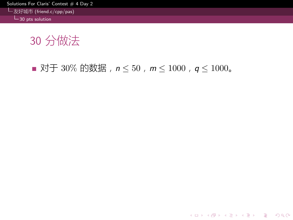tions For Claris' Contest  $\#$  4 Day 2

友好城市 (friend.c/cpp/pas)  $L_{30}$  pts solution

30 分做法

对于 30% 的数据,*n ≤* 50,*m ≤* 1000,*q ≤* 1000。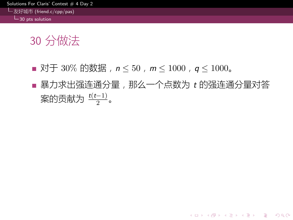utions For Claris' Contest  $\#$  4 Day 2 友好城市 (friend.c/cpp/pas)

 $L_{30}$  pts solution

- 对于 30% 的数据,*n ≤* 50,*m ≤* 1000,*q ≤* 1000。
- 暴力求出强连通分量,那么一个点数为 *t* 的强连通分量对答 案的贡献为 <del><sup>t(t−1)</sup>。</del>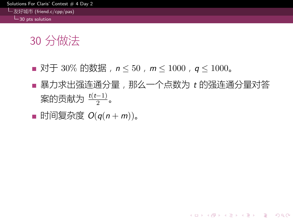#### utions For Claris' Contest  $\#$  4 Day 2 友好城市 (friend.c/cpp/pas) 30 pts solution

- 对于 30% 的数据,*n ≤* 50,*m ≤* 1000,*q ≤* 1000。
- 暴力求出强连通分量,那么一个点数为 *t* 的强连通分量对答 案的贡献为 <del><sup>t(t−1)</sup>。</del>
- 时间复杂度  $O(q(n + m))$ 。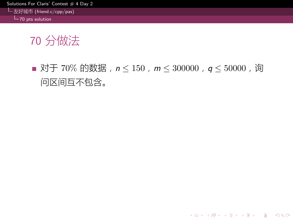itions For Claris' Contest  $\#$  4 Day 2

友好城市 (friend.c/cpp/pas)  $L_{70}$  pts solution

70 分做法

■ 对于 70% 的数据, n ≤ 150, m ≤ 300000, q ≤ 50000, 询 问区间互不包含。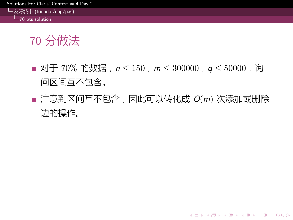#### lutions For Claris' Contest  $# 4$  Day 2 友好城市 (friend.c/cpp/pas)

 $L_{70}$  pts solution

- 对于 70% 的数据, n ≤ 150, m ≤ 300000, q ≤ 50000, 询 问区间互不包含。
- 注意到区间互不包含, 因此可以转化成 *O*(m) 次添加或删除 边的操作。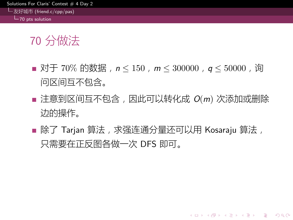#### utions For Claris' Contest  $\#$  4 Day 2 友好城市 (friend.c/cpp/pas)

 $-70$  pts solution

- 对于 70% 的数据, n ≤ 150, m ≤ 300000, q ≤ 50000, 询 问区间互不包含。
- 注意到区间互不包含, 因此可以转化成 *O*(m) 次添加或删除 边的操作。
- 除了 Tarjan 算法, 求强连通分量还可以用 Kosaraju 算法, 只需要在正反图各做一次 DFS 即可。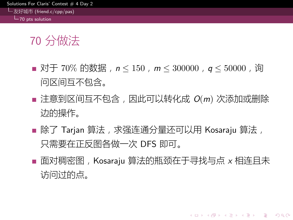#### utions For Claris' Contest  $\#$  4 Day 2 友好城市 (friend.c/cpp/pas)

# 70 pts solution

- 对于 70% 的数据, n ≤ 150, m ≤ 300000, q ≤ 50000, 询 问区间互不包含。
- 注意到区间互不包含, 因此可以转化成  $O(m)$  次添加或删除 边的操作。
- 除了 Tarjan 算法, 求强连通分量还可以用 Kosaraju 算法, 只需要在正反图各做一次 DFS 即可。
- 面对稠密图, Kosaraju 算法的瓶颈在于寻找与点 x 相连且未 访问过的点。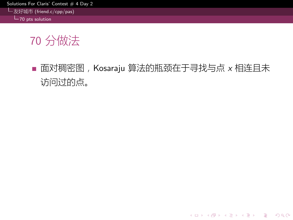$slutions$  For Claris' Contest  $# 4$  Day 2

友好城市 (friend.c/cpp/pas) 70 pts solution

# 70 分做法

■ 面对稠密图, Kosaraju 算法的瓶颈在于寻找与点 x 相连且未 访问过的点。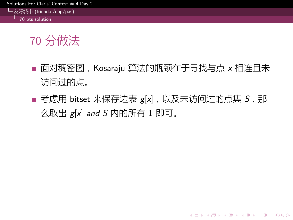#### itions For Claris' Contest  $\#$  4 Day 2 友好城市 (friend.c/cpp/pas)

 $-70$  pts solution

- 面对稠密图,Kosaraju 算法的瓶颈在于寻找与点 *x* 相连且未 访问过的点。
- 考虑用 bitset 来保存边表  $g[x]$ , 以及未访问过的点集 S, 那 么取出 *g*[*x*] *and S* 内的所有 1 即可。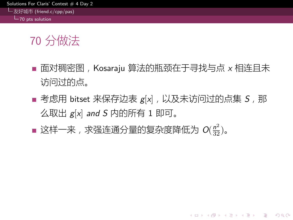#### itions For Claris' Contest  $\#$  4 Day 2 友好城市 (friend.c/cpp/pas)

70 pts solution

- 面对稠密图,Kosaraju 算法的瓶颈在于寻找与点 *x* 相连且未 访问过的点。
- 考虑用 bitset 来保存边表  $g[x]$ , 以及未访问过的点集 S, 那 么取出 *g*[*x*] *and S* 内的所有 1 即可。
- 这样一来,求强连通分量的复杂度降低为  $O(\frac{n^2}{32})$ 。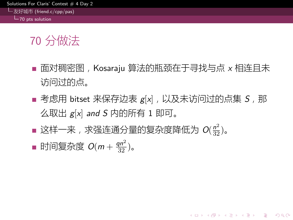#### tions For Claris' Contest  $# 4$  Day 2 友好城市 (friend.c/cpp/pas)

 $L_{70}$  pts solution

- 面对稠密图,Kosaraju 算法的瓶颈在于寻找与点 *x* 相连且未 访问过的点。
- 考虑用 bitset 来保存边表  $g[x]$ , 以及未访问过的点集 S, 那 么取出 *g*[*x*] *and S* 内的所有 1 即可。
- 这样一来,求强连通分量的复杂度降低为  $O(\frac{n^2}{32})$ 。
- 时间复杂度 *O*(*m* + *qn*<sup>2</sup> <sup>32</sup> )。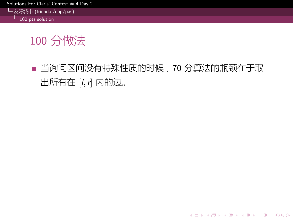$slutions For Claris'$  Contest  $# 4$  Day 2

友好城市 (friend.c/cpp/pas) 100 pts solution

# 100 分做法

■ 当询问区间没有特殊性质的时候,70 分算法的瓶颈在于取 出所有在 [*l,r*] 内的边。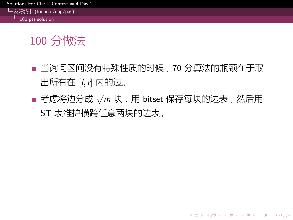utions For Claris' Contest  $\#$  4 Day 2

#### 友好城市 (friend.c/cpp/pas)  $\overline{\phantom{1}}$ 100 pts solution

- 当询问区间没有特殊性质的时候,70 分算法的瓶颈在于取 出所有在 [*l,r*] 内的边。
- 考虑将边分成 √m 块, 用 bitset 保存每块的边表, 然后用 ST 表维护横跨任意两块的边表。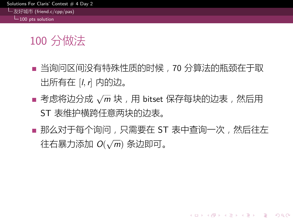#### utions For Claris' Contest  $\#$  4 Day 2 友好城市 (friend.c/cpp/pas)

 $L_{100}$  pts solution

- 当询问区间没有特殊性质的时候,70 分算法的瓶颈在于取 出所有在 [*l,r*] 内的边。
- 考虑将边分成 √m 块, 用 bitset 保存每块的边表, 然后用 ST 表维护横跨任意两块的边表。
- 那么对于每个询问, 只需要在 ST 表中查询一次, 然后往左 往右暴力添加 *O*( *√ m*) 条边即可。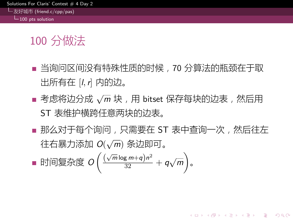#### lutions For Claris' Contest  $\#$  4 Day 2 友好城市 (friend.c/cpp/pas)

# $L_{100}$  pts solution

- 当询问区间没有特殊性质的时候,70 分算法的瓶颈在于取 出所有在 [*l,r*] 内的边。
- 考虑将边分成 √m 块, 用 bitset 保存每块的边表, 然后用 ST 表维护横跨任意两块的边表。
- 那么对于每个询问, 只需要在 ST 表中查询一次, 然后往左 往右暴力添加 *O*( *√ m*) 条边即可。
- 时间复杂度 *O*  $\left(\frac{(\sqrt{m}\log m + q)n^2}{32} + q\sqrt{m}\right)$ ) 。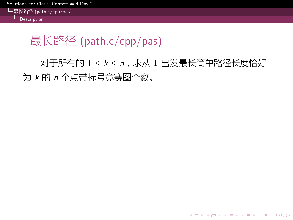utions For Claris' Contest  $# 4$  Day 2

最长路径 (path.c/cpp/pas) **L**<br>Description

最长路径 (path.c/cpp/pas)

对于所有的 1 *≤ k ≤ n*,求从 1 出发最长简单路径长度恰好 为 *k* 的 *n* 个点带标号竞赛图个数。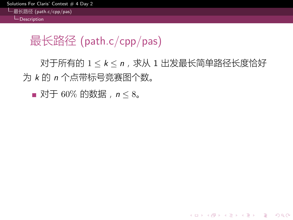utions For Claris' Contest  $\#$  4 Day 2

最长路径 (path.c/cpp/pas)  $L_{\text{Description}}$ 

# 最长路径 (path.c/cpp/pas)

对于所有的 1 *≤ k ≤ n*,求从 1 出发最长简单路径长度恰好 为 *k* 的 *n* 个点带标号竞赛图个数。

■ 对于 60% 的数据,  $n \leq 8$ 。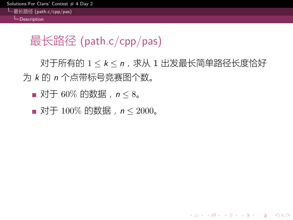utions For Claris' Contest  $\#$  4 Day 2

最长路径 (path.c/cpp/pas)  $L_{\text{Description}}$ 

# 最长路径 (path.c/cpp/pas)

对于所有的 1 *≤ k ≤ n*,求从 1 出发最长简单路径长度恰好 为 *k* 的 *n* 个点带标号竞赛图个数。

- 对于 60% 的数据,  $n \leq 8$ 。
- 对于 100% 的数据,  $n \le 2000$ 。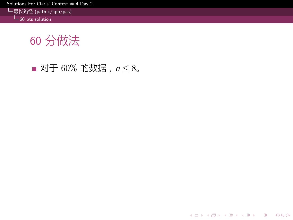itions For Claris' Contest  $\#$  4 Day 2

最长路径 (path.c/cpp/pas) 60 pts solution

60 分做法

■ 对于 60% 的数据,  $n \leq 8$ 。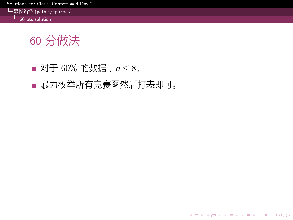$\frac{1}{2}$ olutions For Claris' Contest  $\# 4$  Day 2

最长路径 (path.c/cpp/pas) 60 pts solution

- 对于 60% 的数据,  $n \leq 8$ 。
- 暴力枚举所有竞赛图然后打表即可。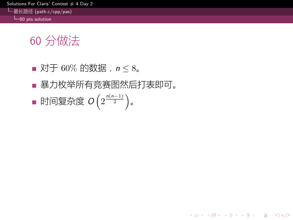utions For Claris' Contest  $\#$  4 Day 2

最长路径 (path.c/cpp/pas)  $L_{60}$  pts solution

- 对于 60% 的数据,  $n \leq 8$ 。
- 暴力枚举所有竞赛图然后打表即可。
- 时间复杂度 *O*  $\left(2^{\frac{n(n-1)}{2}}\right)$ 。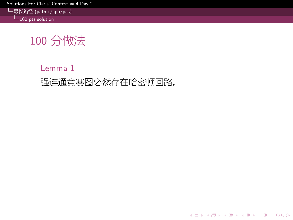$olutions$  For Claris' Contest  $# 4$  Day 2

最长路径 (path.c/cpp/pas) 100 pts solution

# 100 分做法

Lemma 1 强连通竞赛图必然存在哈密顿回路。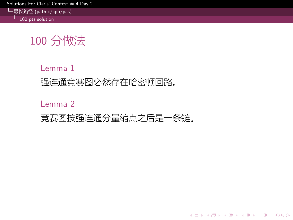utions For Claris' Contest  $\#$  4 Day 2

最长路径 (path.c/cpp/pas)  $L_{100}$  pts solution

# 100 分做法

Lemma 1 强连通竞赛图必然存在哈密顿回路。

Lemma 2

竞赛图按强连通分量缩点之后是一条链。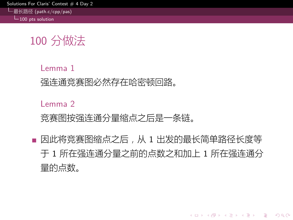utions For Claris' Contest  $\#$  4 Day 2

最长路径 (path.c/cpp/pas)  $L_{100}$  pts solution

### 100 分做法

Lemma 1 强连通竞赛图必然存在哈密顿回路。

Lemma 2

竞赛图按强连通分量缩点之后是一条链。

■ 因此将竞赛图缩点之后, 从 1 出发的最长简单路径长度等 于 1 所在强连通分量之前的点数之和加上 1 所在强连通分 量的点数。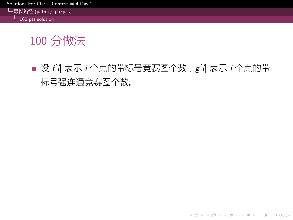itions For Claris' Contest  $\#$  4 Day 2

最长路径 (path.c/cpp/pas)  $L_{100}$  pts solution

# 100 分做法

设 *f*[*i*] 表示 *i* 个点的带标号竞赛图个数,*g*[*i*] 表示 *i* 个点的带 标号强连通竞赛图个数。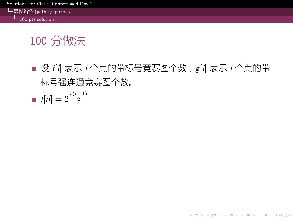utions For Claris' Contest  $\#$  4 Day 2

最长路径 (path.c/cpp/pas)  $L_{100}$  pts solution

- 设 *f*[*i*] 表示 *i* 个点的带标号竞赛图个数,*g*[*i*] 表示 *i* 个点的带 标号强连通竞赛图个数。
- $f[n] = 2^{\frac{n(n-1)}{2}}$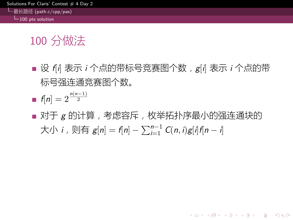#### tions For Claris' Contest 最长路径 (path.c/cpp/pas)

 $-100$  pts solution

- 设 *f*[*i*] 表示 *i* 个点的带标号竞赛图个数,*g*[*i*] 表示 *i* 个点的带 标号强连通竞赛图个数。
- $f[n] = 2^{\frac{n(n-1)}{2}}$
- 对于 g 的计算, 考虑容斥, 枚举拓扑序最小的强连通块的  $\dagger$ 大小 *i*, 则有  $g[n] = f[n] - \sum_{i=1}^{n-1} C(n,i)g[i]f[n-i]$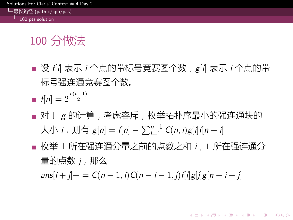#### ons For Claris' Contest 最长路径 (path.c/cpp/pas)

 $L_{100}$  pts solution

### 100 分做法

- 设 f<sup>*i*</sup>] 表示 *i* 个点的带标号竞赛图个数, g[*i*] 表示 *i* 个点的带 标号强连通竞赛图个数。
- $f[n] = 2^{\frac{n(n-1)}{2}}$
- 对于 g 的计算, 考虑容斥, 枚举拓扑序最小的强连通块的  $\dagger$ 大小 *i*, 则有  $g[n] = f[n] - \sum_{i=1}^{n-1} C(n,i)g[i]f[n-i]$
- 枚举 1 所在强连通分量之前的点数之和 *i*,1 所在强连通分 量的点数 *j*,那么

 $ans[i+j]$  + =  $C(n-1, i)C(n-i-1, j)$   $f[i]g[j]g[n-i-j]$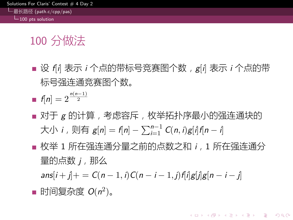#### ions For Claris' Contest 最长路径 (path.c/cpp/pas)

 $L_{100}$  pts solution

### 100 分做法

- 设 f<sup>*i*</sup>] 表示 *i* 个点的带标号竞赛图个数, g[*i*] 表示 *i* 个点的带 标号强连通竞赛图个数。
- $f[n] = 2^{\frac{n(n-1)}{2}}$
- 对于 g 的计算, 考虑容斥, 枚举拓扑序最小的强连通块的  $\dagger$ 大小 *i*, 则有  $g[n] = f[n] - \sum_{i=1}^{n-1} C(n,i)g[i]f[n-i]$
- 枚举 1 所在强连通分量之前的点数之和 *i*,1 所在强连通分 量的点数 *j*,那么

 $ans[i+j]$  + =  $C(n-1, i)C(n-i-1, j)$   $f[i]g[j]g[n-i-j]$ 

时间复杂度 *O*(*n* 2 )。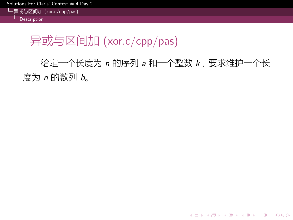$S$ olutions For Claris' Contest  $#$  4 Day 2

异或与区间加 (xor.c/cpp/pas) **Description** 

异或与区间加 (xor.c/cpp/pas)

给定一个长度为 *n* 的序列 *a* 和一个整数 *k*,要求维护一个长 度为 *n* 的数列 *b*。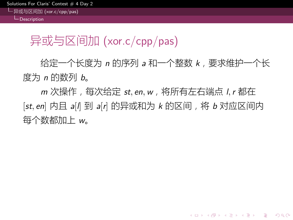异或与区间加 (xor.c/cpp/pas) L<br>Description

异或与区间加 (xor.c/cpp/pas)

给定一个长度为 *n* 的序列 *a* 和一个整数 *k*,要求维护一个长 度为 *n* 的数列 *b*。

*m* 次操作,每次给定 *st, en,w*,将所有左右端点 *l,r* 都在 [*st, en*] 内且 *a*[*l*] 到 *a*[*r*] 的异或和为 *k* 的区间,将 *b* 对应区间内 每个数都加上 *w*。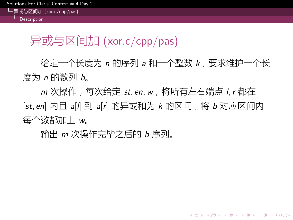异或与区间加 (xor.c/cpp/pas) **L**<br>Description

异或与区间加 (xor.c/cpp/pas)

给定一个长度为 *n* 的序列 *a* 和一个整数 *k*,要求维护一个长 度为 *n* 的数列 *b*。

*m* 次操作,每次给定 *st, en,w*,将所有左右端点 *l,r* 都在 [*st, en*] 内且 *a*[*l*] 到 *a*[*r*] 的异或和为 *k* 的区间,将 *b* 对应区间内 每个数都加上 *w*。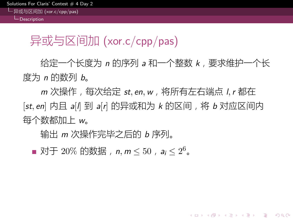异或与区间加 (xor.c/cpp/pas)  $L_{\text{Description}}$ 

### 异或与区间加 (xor.c/cpp/pas)

给定一个长度为 *n* 的序列 *a* 和一个整数 *k*,要求维护一个长 度为 *n* 的数列 *b*。

*m* 次操作,每次给定 *st, en,w*,将所有左右端点 *l,r* 都在 [*st, en*] 内且 *a*[*l*] 到 *a*[*r*] 的异或和为 *k* 的区间,将 *b* 对应区间内 每个数都加上 *w*。

输出 *m* 次操作完毕之后的 *b* 序列。

对于 20% 的数据,*n, m ≤* 50,*a<sup>i</sup> ≤* 2 <sup>6</sup>。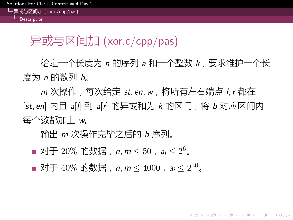异或与区间加 (xor.c/cpp/pas)  $L_{\text{Description}}$ 

### 异或与区间加 (xor.c/cpp/pas)

给定一个长度为 *n* 的序列 *a* 和一个整数 *k*,要求维护一个长 度为 *n* 的数列 *b*。

*m* 次操作,每次给定 *st, en,w*,将所有左右端点 *l,r* 都在 [*st, en*] 内且 *a*[*l*] 到 *a*[*r*] 的异或和为 *k* 的区间,将 *b* 对应区间内 每个数都加上 *w*。

- 对于 20% 的数据,*n, m ≤* 50,*a<sup>i</sup> ≤* 2 <sup>6</sup>。
- 对于 40% 的数据,*n, m ≤* 4000,*a<sup>i</sup> ≤* 2 <sup>30</sup>。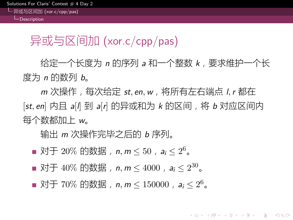异或与区间加 (xor.c/cpp/pas)  $L_{\text{Descriptio}}$ 

### 异或与区间加 (xor.c/cpp/pas)

给定一个长度为 *n* 的序列 *a* 和一个整数 *k*,要求维护一个长 度为 *n* 的数列 *b*。

*m* 次操作,每次给定 *st, en,w*,将所有左右端点 *l,r* 都在 [*st, en*] 内且 *a*[*l*] 到 *a*[*r*] 的异或和为 *k* 的区间,将 *b* 对应区间内 每个数都加上 *w*。

- 对于 20% 的数据,*n, m ≤* 50,*a<sup>i</sup> ≤* 2 <sup>6</sup>。
- 对于 40% 的数据,*n, m ≤* 4000,*a<sup>i</sup> ≤* 2 <sup>30</sup>。
- 对于 70% 的数据,*n, m ≤* 150000,*a<sup>i</sup> ≤* 2 <sup>6</sup>。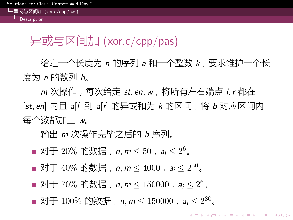异或与区间加 (xor.c/cpp/pas)  $L_{\text{Descriptio}}$ 

### 异或与区间加 (xor.c/cpp/pas)

给定一个长度为 *n* 的序列 *a* 和一个整数 *k*,要求维护一个长 度为 *n* 的数列 *b*。

*m* 次操作,每次给定 *st, en,w*,将所有左右端点 *l,r* 都在 [*st, en*] 内且 *a*[*l*] 到 *a*[*r*] 的异或和为 *k* 的区间,将 *b* 对应区间内 每个数都加上 *w*。

- 对于 20% 的数据,*n, m ≤* 50,*a<sup>i</sup> ≤* 2 <sup>6</sup>。
- 对于 40% 的数据,*n, m ≤* 4000,*a<sup>i</sup> ≤* 2 <sup>30</sup>。
- 对于 70% 的数据,*n, m ≤* 150000,*a<sup>i</sup> ≤* 2 <sup>6</sup>。
- 对于 100% 的数据,*n, m ≤* 150000,*a<sup>i</sup> ≤* 2 <sup>30</sup>。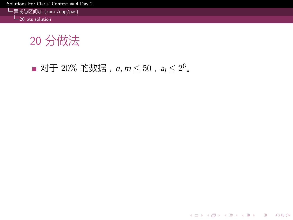异或与区间加 (xor.c/cpp/pas) 20 pts solution

20 分做法

对于 20% 的数据,*n, m ≤* 50,*a<sup>i</sup> ≤* 2 <sup>6</sup>。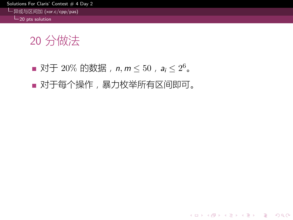异或与区间加 (xor.c/cpp/pas) 20 pts solution

- 对于 20% 的数据,*n, m ≤* 50,*a<sup>i</sup> ≤* 2 <sup>6</sup>。
- 对于每个操作,暴力枚举所有区间即可。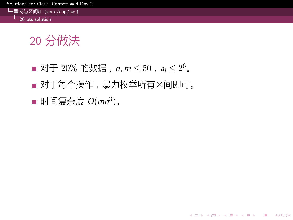异或与区间加 (xor.c/cpp/pas) 20 pts solution

- 对于 20% 的数据,*n, m ≤* 50,*a<sup>i</sup> ≤* 2 <sup>6</sup>。
- 对于每个操作,暴力枚举所有区间即可。
- 时间复杂度 *O*(*mn*<sup>3</sup> )。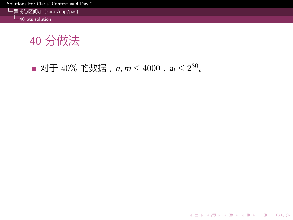异或与区间加 (xor.c/cpp/pas) 40 pts solution

40 分做法

对于 40% 的数据,*n, m ≤* 4000,*a<sup>i</sup> ≤* 2 <sup>30</sup>。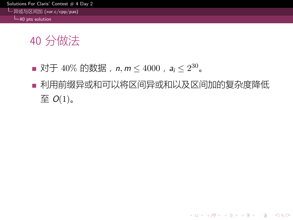异或与区间加 (xor.c/cpp/pas) 40 pts solution

- 对于 40% 的数据,*n, m ≤* 4000,*a<sup>i</sup> ≤* 2 <sup>30</sup>。
- 利用前缀异或和可以将区间异或和以及区间加的复杂度降低 至  $O(1)$ 。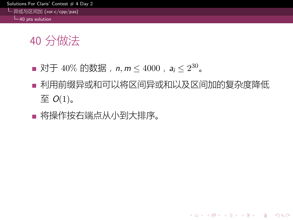#### utions For Claris' Contest  $\#$  4 Day 2 异或与区间加 (xor.c/cpp/pas)

L<sub>40</sub> pts solution

- 对于 40% 的数据,*n, m ≤* 4000,*a<sup>i</sup> ≤* 2 <sup>30</sup>。
- 利用前缀异或和可以将区间异或和以及区间加的复杂度降低 至  $O(1)$ 。
- 将操作按右端点从小到大排序。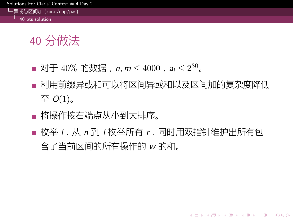#### itions For Claris' Contest  $\#$  4 Day 2 异或与区间加 (xor.c/cpp/pas)  $L_{40}$  pts solution

- 对于 40% 的数据,*n, m ≤* 4000,*a<sup>i</sup> ≤* 2 <sup>30</sup>。
- 利用前缀异或和可以将区间异或和以及区间加的复杂度降低 至 *O*(1)。
- 将操作按右端点从小到大排序。
- 枚举 /, 从 n 到 / 枚举所有 r, 同时用双指针维护出所有包 含了当前区间的所有操作的 *w* 的和。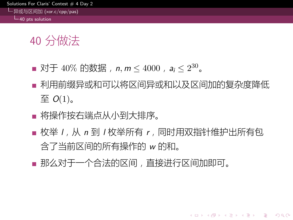#### utions For Claris' Contest  $\#$  4 Day 2 异或与区间加 (xor.c/cpp/pas) 40 pts solution

- 对于 40% 的数据,*n, m ≤* 4000,*a<sup>i</sup> ≤* 2 <sup>30</sup>。
- 利用前缀异或和可以将区间异或和以及区间加的复杂度降低 至  $O(1)$ 。
- 将操作按右端点从小到大排序。
- 枚举 /, 从 n 到 / 枚举所有 r, 同时用双指针维护出所有包 含了当前区间的所有操作的 *w* 的和。
- 那么对于一个合法的区间,直接进行区间加即可。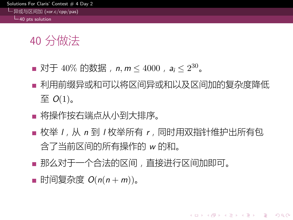#### itions For Claris' Contest  $\#$  4 Day 异或与区间加 (xor.c/cpp/pas) 40 pts solution

- 对于 40% 的数据,*n, m ≤* 4000,*a<sup>i</sup> ≤* 2 <sup>30</sup>。
- 利用前缀异或和可以将区间异或和以及区间加的复杂度降低 至  $O(1)$ 。
- 将操作按右端点从小到大排序。
- 枚举 /, 从 n 到 / 枚举所有 r, 同时用双指针维护出所有包 含了当前区间的所有操作的 *w* 的和。
- 那么对于一个合法的区间,直接进行区间加即可。
- 时间复杂度  $O(n(n + m))$ 。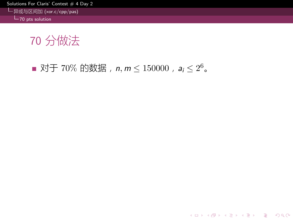异或与区间加 (xor.c/cpp/pas) 70 pts solution

70 分做法

对于 70% 的数据,*n, m ≤* 150000,*a<sup>i</sup> ≤* 2 <sup>6</sup>。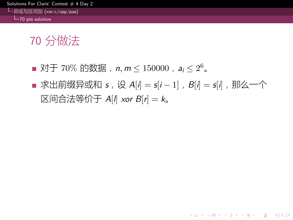#### tions For Claris' Contest  $\#$  4 Day 2 异或与区间加 (xor.c/cpp/pas)  $L_{70 \text{ pts solution}}$

- 对于 70% 的数据,*n, m ≤* 150000,*a<sup>i</sup> ≤* 2 <sup>6</sup>。
- 求出前缀异或和 *s*, 设 *A*[*i*] = *s*[*i* − 1], *B*[*i*] = *s*[*i*], 那么一个 区间合法等价于 *A*[*l*] *xor B*[*r*] = *k*。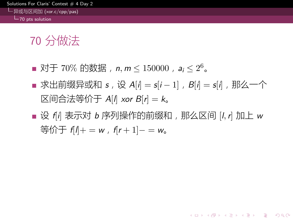#### tions For Claris' Contest  $# 4$  Day 2 异或与区间加 (xor.c/cpp/pas)  $L_{70 \text{ pts}}$  solution

- 对于 70% 的数据,*n, m ≤* 150000,*a<sup>i</sup> ≤* 2 <sup>6</sup>。
- 求出前缀异或和 *s*, 设 *A*[*i*] = *s*[*i* − 1], *B*[*i*] = *s*[*i*], 那么一个 区间合法等价于 *A*[*l*] *xor B*[*r*] = *k*。
- 设  $f$ <sup>*i*</sup>] 表示对 *b* 序列操作的前缀和, 那么区间 [*l*, *r*] 加上 w 等价于 *f*[*l*]+ = *w*,*f*[*r* + 1]*−* = *w*。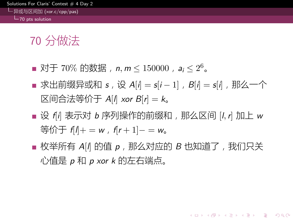#### tions For Claris' Contest  $\#$  4 Day 2 异或与区间加 (xor.c/cpp/pas)  $\overline{\phantom{a}}$  70 pts solution

- 对于 70% 的数据,*n, m ≤* 150000,*a<sup>i</sup> ≤* 2 <sup>6</sup>。
- 求出前缀异或和 *s*, 设 *A*[*i*] = *s*[*i* − 1], *B*[*i*] = *s*[*i*], 那么一个 区间合法等价于 *A*[*l*] *xor B*[*r*] = *k*。
- 设  $f$ <sup>*i*</sup>] 表示对 *b* 序列操作的前缀和, 那么区间 [*l*, *r*] 加上 w 等价于 *f*[*l*]+ = *w*,*f*[*r* + 1]*−* = *w*。
- 枚举所有 *A*[*l*] 的值 *p*, 那么对应的 *B* 也知道了, 我们只关 心值是 *p* 和 *p xor k* 的左右端点。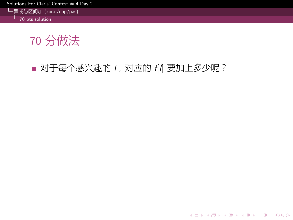异或与区间加 (xor.c/cpp/pas) 70 pts solution

70 分做法

对于每个感兴趣的 *l*,对应的 *f*[*l*] 要加上多少呢?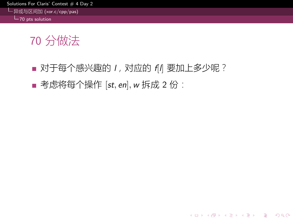异或与区间加 (xor.c/cpp/pas) 70 pts solution

- 对于每个感兴趣的 *l*,对应的 *f*[*l*] 要加上多少呢?
- 考虑将每个操作 [*st*, en], w 拆成 2 份: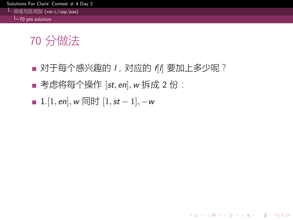#### 异或与区间加 (xor.c/cpp/pas)  $L_{70}$  pts solution

- 对于每个感兴趣的 *l*,对应的 *f*[*l*] 要加上多少呢?
- 考虑将每个操作 [*st*, en], w 拆成 2 份:
- 1.[1*, en*]*,w* 同时 [1*,st −* 1]*, −w*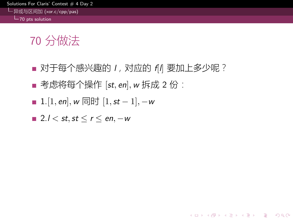#### utions For Claris' Contest  $\#$  4 Day 2 异或与区间加 (xor.c/cpp/pas)

 $L_{70}$  pts solution

- 对于每个感兴趣的 *l*,对应的 *f*[*l*] 要加上多少呢?
- 考虑将每个操作 [*st*, en], w 拆成 2 份:
- 1.[1*, en*]*,w* 同时 [1*,st −* 1]*, −w*
- 2.*l < st,st ≤ r ≤ en, −w*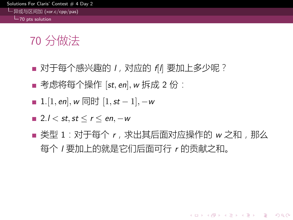#### utions For Claris' Contest  $\#$  4 Day 2 异或与区间加 (xor.c/cpp/pas)  $L_{70 \text{ pts}}$  solution

- 对于每个感兴趣的 *l*,对应的 *f*[*l*] 要加上多少呢?
- 考虑将每个操作 [st, en], w 拆成 2 份:
- 1.[1*, en*]*,w* 同时 [1*,st −* 1]*, −w*
- 2.*l < st,st ≤ r ≤ en, −w*
- 类型 1:对于每个 *r*,求出其后面对应操作的 *w* 之和,那么 每个 *l* 要加上的就是它们后面可行 *r* 的贡献之和。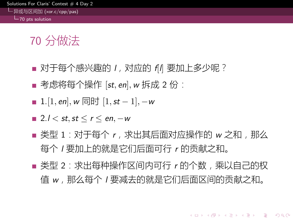#### utions For Claris' Contest  $\#$  4 Day 2 异或与区间加 (xor.c/cpp/pas) 70 pts solution

- 对于每个感兴趣的 *l*,对应的 *f*[*l*] 要加上多少呢?
- 考虑将每个操作 [st, en], w 拆成 2 份:
- 1.[1*, en*]*,w* 同时 [1*,st −* 1]*, −w*
- 2.*l < st,st ≤ r ≤ en, −w*
- 类型 1:对于每个 *r*,求出其后面对应操作的 *w* 之和,那么 每个 *l* 要加上的就是它们后面可行 *r* 的贡献之和。
- 类型 2: 求出每种操作区间内可行 r 的个数, 乘以自己的权 值 *w*,那么每个 *l* 要减去的就是它们后面区间的贡献之和。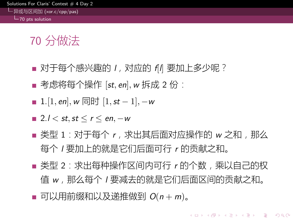#### utions For Claris' Contest  $\#$  4 Day 2 异或与区间加 (xor.c/cpp/pas)  $L_{70}$  pts solution

- 对于每个感兴趣的 *l*,对应的 *f*[*l*] 要加上多少呢?
- 考虑将每个操作 [st, en], w 拆成 2 份:
- 1.[1*, en*]*,w* 同时 [1*,st −* 1]*, −w*
- 2.*l < st,st ≤ r ≤ en, −w*
- 类型 1:对于每个 *r*,求出其后面对应操作的 *w* 之和,那么 每个 *l* 要加上的就是它们后面可行 *r* 的贡献之和。
- 类型 2: 求出每种操作区间内可行 r 的个数, 乘以自己的权 值 *w*,那么每个 *l* 要减去的就是它们后面区间的贡献之和。
- 可以用前缀和以及递推做到  $O(n + m)$ 。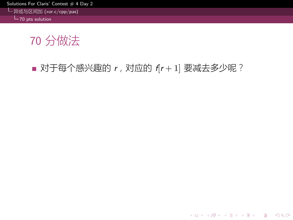异或与区间加 (xor.c/cpp/pas) 70 pts solution

70 分做法

■ 对于每个感兴趣的 *r*, 对应的 *f*[*r* + 1] 要减去多少呢?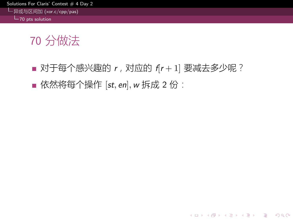异或与区间加 (xor.c/cpp/pas) 70 pts solution

- 对于每个感兴趣的 *r*, 对应的 *f*[*r* + 1] 要减去多少呢?
- 依然将每个操作 [*st*, en], w 拆成 2 份: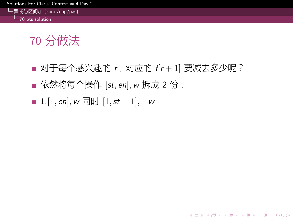异或与区间加 (xor.c/cpp/pas)  $L_{70}$  pts solution

- 对于每个感兴趣的 *r*, 对应的 *f*[*r* + 1] 要减去多少呢?
- 依然将每个操作 [*st*, en], w 拆成 2 份:
- 1.[1*, en*]*,w* 同时 [1*,st −* 1]*, −w*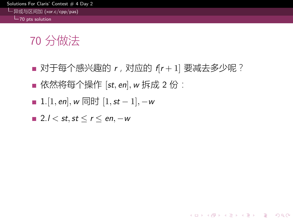#### utions For Claris' Contest  $\#$  4 Day 2 异或与区间加 (xor.c/cpp/pas)

 $L_{70}$  pts solution

- 对于每个感兴趣的 *r*, 对应的 *f*[*r* + 1] 要减去多少呢?
- 依然将每个操作 [*st*, en], w 拆成 2 份:
- 1.[1*, en*]*,w* 同时 [1*,st −* 1]*, −w*
- 2.*l < st,st ≤ r ≤ en, −w*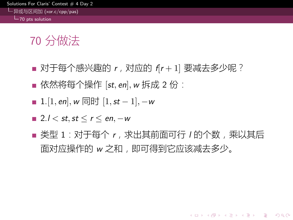#### utions For Claris' Contest  $\#$  4 Day 2 异或与区间加 (xor.c/cpp/pas)  $L_{70 \text{ pts}}$  solution

- 对于每个感兴趣的 *r*, 对应的 *f*[*r* + 1] 要减去多少呢?
- 依然将每个操作 [st, en], w 拆成 2 份:
- 1.[1*, en*]*,w* 同时 [1*,st −* 1]*, −w*
- 2.*l < st,st ≤ r ≤ en, −w*
- 类型 1:对于每个 *r*,求出其前面可行 *l* 的个数,乘以其后 面对应操作的 *w* 之和,即可得到它应该减去多少。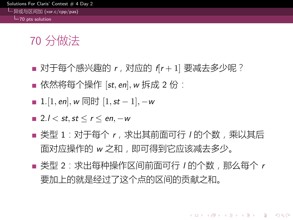#### utions For Claris' Contest  $\#$  4 Day 2 异或与区间加 (xor.c/cpp/pas) 70 pts solution

- 对于每个感兴趣的 *r*, 对应的 *f*[*r* + 1] 要减去多少呢?
- 依然将每个操作 [st, en], w 拆成 2 份:
- 1.[1*, en*]*,w* 同时 [1*,st −* 1]*, −w*
- 2.*l < st,st ≤ r ≤ en, −w*
- 类型 1:对于每个 *r*,求出其前面可行 *l* 的个数,乘以其后 面对应操作的 *w* 之和,即可得到它应该减去多少。
- 类型 2: 求出每种操作区间前面可行 / 的个数, 那么每个 r 要加上的就是经过了这个点的区间的贡献之和。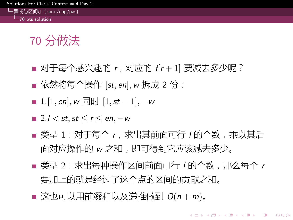#### utions For Claris' Contest  $\#$  4 Day 2 异或与区间加 (xor.c/cpp/pas) 70 pts solution

- 对于每个感兴趣的 *r*, 对应的 *f*[*r* + 1] 要减去多少呢?
- 依然将每个操作 [st, en], w 拆成 2 份:
- 1.[1*, en*]*,w* 同时 [1*,st −* 1]*, −w*
- 2.*l < st,st ≤ r ≤ en, −w*
- 类型 1:对于每个 *r*,求出其前面可行 *l* 的个数,乘以其后 面对应操作的 *w* 之和,即可得到它应该减去多少。
- 类型 2: 求出每种操作区间前面可行 / 的个数, 那么每个 r 要加上的就是经过了这个点的区间的贡献之和。
- 这也可以用前缀和以及递推做到  $O(n + m)$ 。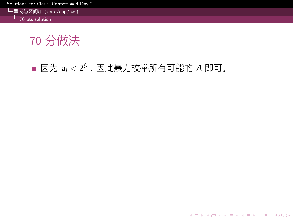异或与区间加 (xor.c/cpp/pas) 70 pts solution

70 分做法

因为 *a<sup>i</sup> <* 2 <sup>6</sup>,因此暴力枚举所有可能的 *A* 即可。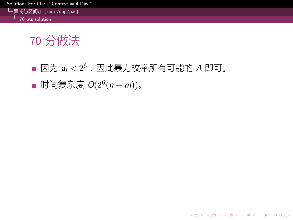异或与区间加 (xor.c/cpp/pas) 70 pts solution

- 因为 *a<sup>i</sup> <* 2 <sup>6</sup>,因此暴力枚举所有可能的 *A* 即可。
- 时间复杂度 *O*(2<sup>6</sup> (*n* + *m*))。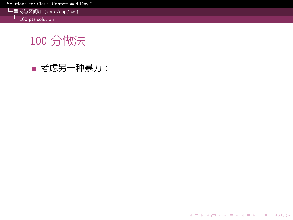异或与区间加 (xor.c/cpp/pas) 100 pts solution

100 分做法

考虑另一种暴力: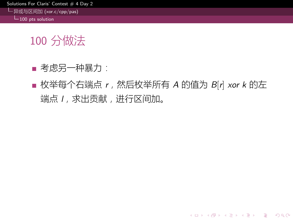#### utions For Claris' Contest  $\#$  4 Day 2

异或与区间加 (xor.c/cpp/pas) 100 pts solution

- 考虑另一种暴力:
- 枚举每个右端点 *r*, 然后枚举所有 *A* 的值为 *B*[*r*] *xor k* 的左 端点 *l*,求出贡献,进行区间加。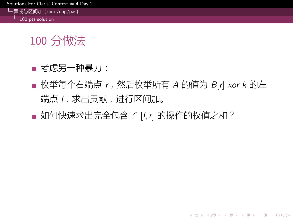#### utions For Claris' Contest  $\#$  4 Day 2

异或与区间加 (xor.c/cpp/pas)  $L_{100}$  pts solution

- 考虑另一种暴力:
- 枚举每个右端点 *r*,然后枚举所有 *A* 的值为 *B*[*r*] *xor k* 的左 端点 *l*,求出贡献,进行区间加。
- 如何快速求出完全包含了 [*l,r*] 的操作的权值之和?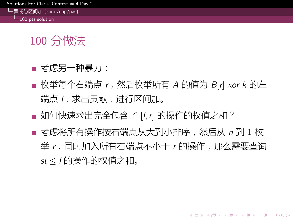#### itions For Claris' Contest  $\#$  4 Day 2

异或与区间加 (xor.c/cpp/pas)  $L_{100}$  pts solution

- 考虑另一种暴力:
- 枚举每个右端点 *r*,然后枚举所有 A 的值为  $B$ [r] *xor k* 的左 端点 *l*,求出贡献,进行区间加。
- 如何快速求出完全包含了 [*l,r*] 的操作的权值之和?
- 考虑将所有操作按右端点从大到小排序,然后从 *n* 到 1 枚 举 r, 同时加入所有右端点不小于 r 的操作, 那么需要查询 *st ≤ l* 的操作的权值之和。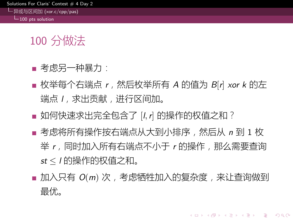#### utions For Claris' Contest  $\#$  4 Day 2

异或与区间加 (xor.c/cpp/pas)  $L_{100}$  pts solution

- 考虑另一种暴力:
- 枚举每个右端点 *r*,然后枚举所有 A 的值为  $B$ [r] *xor k* 的左 端点 *l*,求出贡献,进行区间加。
- 如何快速求出完全包含了 [*l,r*] 的操作的权值之和?
- 考虑将所有操作按右端点从大到小排序,然后从 *n* 到 1 枚 举 r, 同时加入所有右端点不小于 r 的操作, 那么需要查询 *st ≤ l* 的操作的权值之和。
- 加入只有 *O*(*m*) 次,考虑牺牲加入的复杂度,来让查询做到 最优。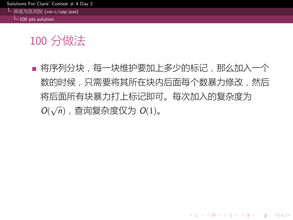utions For Claris' Contest  $\#$  4 Day 2 异或与区间加 (xor.c/cpp/pas)

 $L_{100}$  pts solution

## 100 分做法

■ 将序列分块,每一块维护要加上多少的标记,那么加入一个 数的时候,只需要将其所在块内后面每个数暴力修改,然后 将后面所有块暴力打上标记即可。每次加入的复杂度为 *O*( *√ n*),查询复杂度仅为 *O*(1)。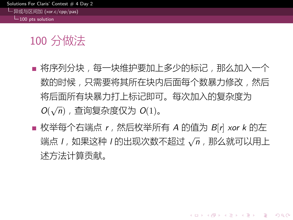#### utions For Claris' Contest  $\#$  4 Day 2 异或与区间加 (xor.c/cpp/pas)

 $L_{100}$  pts solution

- 将序列分块,每一块维护要加上多少的标记,那么加入一个 数的时候,只需要将其所在块内后面每个数暴力修改,然后 将后面所有块暴力打上标记即可。每次加入的复杂度为 *O*( *√ n*),查询复杂度仅为 *O*(1)。
- 枚举每个右端点 *r*, 然后枚举所有 A 的值为  $B$ [*r*] *xor k* 的左 端点 *l*,如果这种 *l* 的出现次数不超过 *√ n*,那么就可以用上 述方法计算贡献。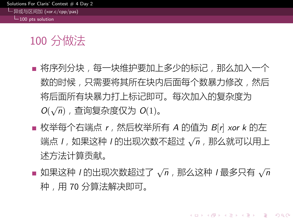#### itions For Claris' Contest  $\#$  4 Day 异或与区间加 (xor.c/cpp/pas)

 $\overline{100}$  pts solution

- 将序列分块,每一块维护要加上多少的标记,那么加入一个 数的时候,只需要将其所在块内后面每个数暴力修改,然后 将后面所有块暴力打上标记即可。每次加入的复杂度为 *O*( *√ n*),查询复杂度仅为 *O*(1)。
- 枚举每个右端点 *r*, 然后枚举所有 A 的值为  $B$ [r] *xor k* 的左 端点 *l*,如果这种 *l* 的出现次数不超过 *√ n*,那么就可以用上 述方法计算贡献。
- 如果这种 *l* 的出现次数超过了 *√ n*,那么这种 *l* 最多只有 *√ n* 种,用 70 分算法解决即可。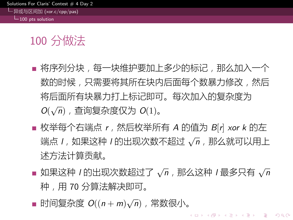#### itions For Claris' Contest  $\#$  4 Day 异或与区间加 (xor.c/cpp/pas)

 $\overline{100}$  pts solution

- 将序列分块,每一块维护要加上多少的标记,那么加入一个 数的时候,只需要将其所在块内后面每个数暴力修改,然后 将后面所有块暴力打上标记即可。每次加入的复杂度为 *O*( *√ n*),查询复杂度仅为 *O*(1)。
- 枚举每个右端点 *r*, 然后枚举所有 A 的值为  $B$ [r] *xor k* 的左 端点 *l*,如果这种 *l* 的出现次数不超过 *√ n*,那么就可以用上 述方法计算贡献。
- 如果这种 *l* 的出现次数超过了 *√ n*,那么这种 *l* 最多只有 *√ n* 种,用 70 分算法解决即可。
- 时间复杂度 *O*((*n* + *m*) *√ n*),常数很小。